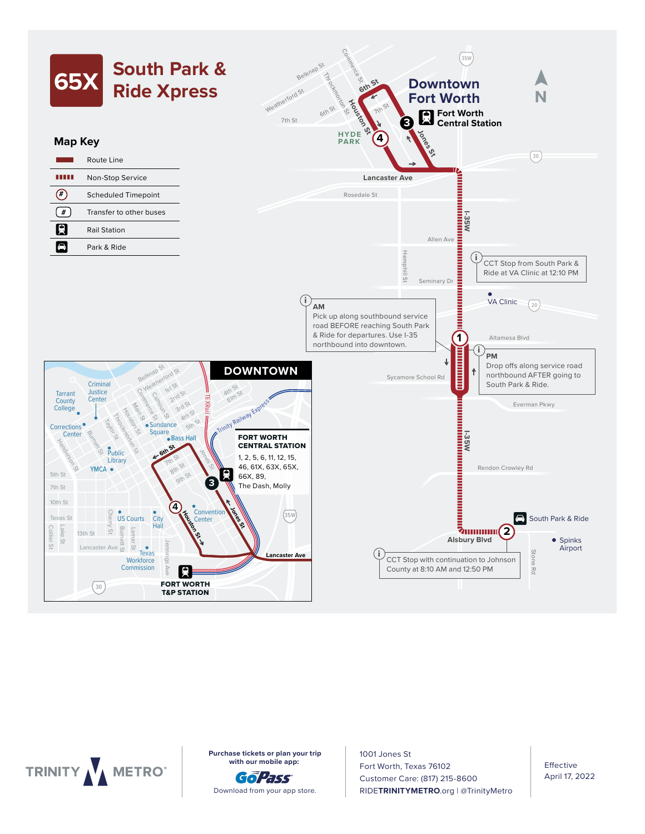



**Purchase tickets or plan your trip** 6:50 7:05 7:35 7:37 **with our mobile app:** 

GoPass Download from your app store. Cleburne, Joshua, and Burleson with connecting service

1001 Jones St 5:00 5:02 5:30 5:42 Fort Worth, Texas 76102 6:30 6:32 7:00 7:12 Customer Care: (817) 215-8600 RIDE**TRINITYMETRO**.org | @TrinityMetro  $\overline{3}$   $\overline{3}$   $\overline{3}$   $\overline{3}$   $\overline{3}$   $\overline{3}$   $\overline{3}$   $\overline{3}$   $\overline{3}$   $\overline{3}$   $\overline{3}$   $\overline{3}$   $\overline{3}$   $\overline{3}$   $\overline{3}$   $\overline{3}$   $\overline{3}$   $\overline{3}$   $\overline{3}$   $\overline{3}$   $\overline{3}$   $\overline{3}$   $\overline{3}$   $\overline{3}$   $\overline{$ 

online at www.cleburne.net (click on "Our Community").

Effective April 17, 2022